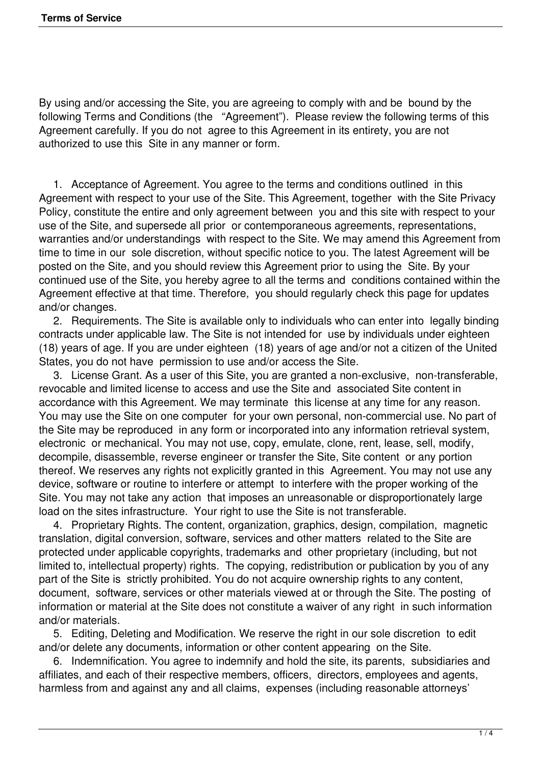By using and/or accessing the Site, you are agreeing to comply with and be bound by the following Terms and Conditions (the "Agreement"). Please review the following terms of this Agreement carefully. If you do not agree to this Agreement in its entirety, you are not authorized to use this Site in any manner or form.

 1. Acceptance of Agreement. You agree to the terms and conditions outlined in this Agreement with respect to your use of the Site. This Agreement, together with the Site Privacy Policy, constitute the entire and only agreement between you and this site with respect to your use of the Site, and supersede all prior or contemporaneous agreements, representations, warranties and/or understandings with respect to the Site. We may amend this Agreement from time to time in our sole discretion, without specific notice to you. The latest Agreement will be posted on the Site, and you should review this Agreement prior to using the Site. By your continued use of the Site, you hereby agree to all the terms and conditions contained within the Agreement effective at that time. Therefore, you should regularly check this page for updates and/or changes.

 2. Requirements. The Site is available only to individuals who can enter into legally binding contracts under applicable law. The Site is not intended for use by individuals under eighteen (18) years of age. If you are under eighteen (18) years of age and/or not a citizen of the United States, you do not have permission to use and/or access the Site.

 3. License Grant. As a user of this Site, you are granted a non-exclusive, non-transferable, revocable and limited license to access and use the Site and associated Site content in accordance with this Agreement. We may terminate this license at any time for any reason. You may use the Site on one computer for your own personal, non-commercial use. No part of the Site may be reproduced in any form or incorporated into any information retrieval system, electronic or mechanical. You may not use, copy, emulate, clone, rent, lease, sell, modify, decompile, disassemble, reverse engineer or transfer the Site, Site content or any portion thereof. We reserves any rights not explicitly granted in this Agreement. You may not use any device, software or routine to interfere or attempt to interfere with the proper working of the Site. You may not take any action that imposes an unreasonable or disproportionately large load on the sites infrastructure. Your right to use the Site is not transferable.

 4. Proprietary Rights. The content, organization, graphics, design, compilation, magnetic translation, digital conversion, software, services and other matters related to the Site are protected under applicable copyrights, trademarks and other proprietary (including, but not limited to, intellectual property) rights. The copying, redistribution or publication by you of any part of the Site is strictly prohibited. You do not acquire ownership rights to any content, document, software, services or other materials viewed at or through the Site. The posting of information or material at the Site does not constitute a waiver of any right in such information and/or materials.

 5. Editing, Deleting and Modification. We reserve the right in our sole discretion to edit and/or delete any documents, information or other content appearing on the Site.

 6. Indemnification. You agree to indemnify and hold the site, its parents, subsidiaries and affiliates, and each of their respective members, officers, directors, employees and agents, harmless from and against any and all claims, expenses (including reasonable attorneys'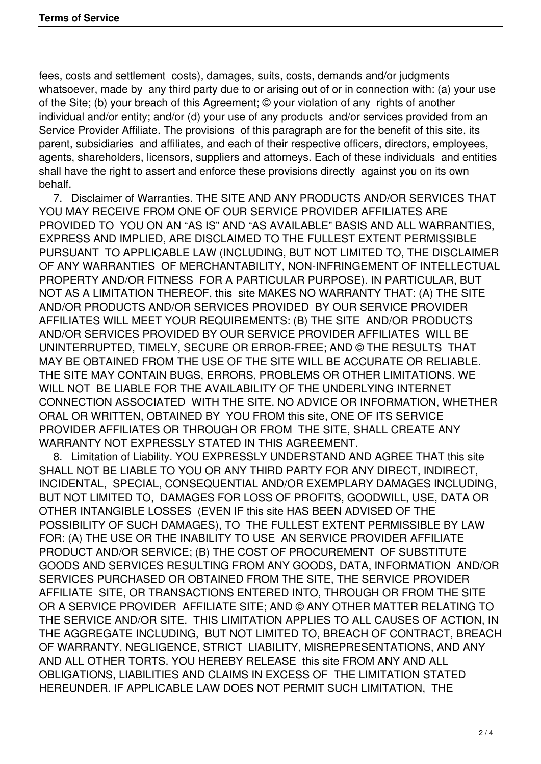fees, costs and settlement costs), damages, suits, costs, demands and/or judgments whatsoever, made by any third party due to or arising out of or in connection with: (a) your use of the Site; (b) your breach of this Agreement; © your violation of any rights of another individual and/or entity; and/or (d) your use of any products and/or services provided from an Service Provider Affiliate. The provisions of this paragraph are for the benefit of this site, its parent, subsidiaries and affiliates, and each of their respective officers, directors, employees, agents, shareholders, licensors, suppliers and attorneys. Each of these individuals and entities shall have the right to assert and enforce these provisions directly against you on its own behalf.

 7. Disclaimer of Warranties. THE SITE AND ANY PRODUCTS AND/OR SERVICES THAT YOU MAY RECEIVE FROM ONE OF OUR SERVICE PROVIDER AFFILIATES ARE PROVIDED TO YOU ON AN "AS IS" AND "AS AVAILABLE" BASIS AND ALL WARRANTIES, EXPRESS AND IMPLIED, ARE DISCLAIMED TO THE FULLEST EXTENT PERMISSIBLE PURSUANT TO APPLICABLE LAW (INCLUDING, BUT NOT LIMITED TO, THE DISCLAIMER OF ANY WARRANTIES OF MERCHANTABILITY, NON-INFRINGEMENT OF INTELLECTUAL PROPERTY AND/OR FITNESS FOR A PARTICULAR PURPOSE). IN PARTICULAR, BUT NOT AS A LIMITATION THEREOF, this site MAKES NO WARRANTY THAT: (A) THE SITE AND/OR PRODUCTS AND/OR SERVICES PROVIDED BY OUR SERVICE PROVIDER AFFILIATES WILL MEET YOUR REQUIREMENTS: (B) THE SITE AND/OR PRODUCTS AND/OR SERVICES PROVIDED BY OUR SERVICE PROVIDER AFFILIATES WILL BE UNINTERRUPTED, TIMELY, SECURE OR ERROR-FREE; AND © THE RESULTS THAT MAY BE OBTAINED FROM THE USE OF THE SITE WILL BE ACCURATE OR RELIABLE. THE SITE MAY CONTAIN BUGS, ERRORS, PROBLEMS OR OTHER LIMITATIONS. WE WILL NOT BE LIABLE FOR THE AVAILABILITY OF THE UNDERLYING INTERNET CONNECTION ASSOCIATED WITH THE SITE. NO ADVICE OR INFORMATION, WHETHER ORAL OR WRITTEN, OBTAINED BY YOU FROM this site, ONE OF ITS SERVICE PROVIDER AFFILIATES OR THROUGH OR FROM THE SITE, SHALL CREATE ANY WARRANTY NOT EXPRESSLY STATED IN THIS AGREEMENT.

 8. Limitation of Liability. YOU EXPRESSLY UNDERSTAND AND AGREE THAT this site SHALL NOT BE LIABLE TO YOU OR ANY THIRD PARTY FOR ANY DIRECT, INDIRECT, INCIDENTAL, SPECIAL, CONSEQUENTIAL AND/OR EXEMPLARY DAMAGES INCLUDING, BUT NOT LIMITED TO, DAMAGES FOR LOSS OF PROFITS, GOODWILL, USE, DATA OR OTHER INTANGIBLE LOSSES (EVEN IF this site HAS BEEN ADVISED OF THE POSSIBILITY OF SUCH DAMAGES), TO THE FULLEST EXTENT PERMISSIBLE BY LAW FOR: (A) THE USE OR THE INABILITY TO USE AN SERVICE PROVIDER AFFILIATE PRODUCT AND/OR SERVICE; (B) THE COST OF PROCUREMENT OF SUBSTITUTE GOODS AND SERVICES RESULTING FROM ANY GOODS, DATA, INFORMATION AND/OR SERVICES PURCHASED OR OBTAINED FROM THE SITE, THE SERVICE PROVIDER AFFILIATE SITE, OR TRANSACTIONS ENTERED INTO, THROUGH OR FROM THE SITE OR A SERVICE PROVIDER AFFILIATE SITE; AND © ANY OTHER MATTER RELATING TO THE SERVICE AND/OR SITE. THIS LIMITATION APPLIES TO ALL CAUSES OF ACTION, IN THE AGGREGATE INCLUDING, BUT NOT LIMITED TO, BREACH OF CONTRACT, BREACH OF WARRANTY, NEGLIGENCE, STRICT LIABILITY, MISREPRESENTATIONS, AND ANY AND ALL OTHER TORTS. YOU HEREBY RELEASE this site FROM ANY AND ALL OBLIGATIONS, LIABILITIES AND CLAIMS IN EXCESS OF THE LIMITATION STATED HEREUNDER. IF APPLICABLE LAW DOES NOT PERMIT SUCH LIMITATION, THE